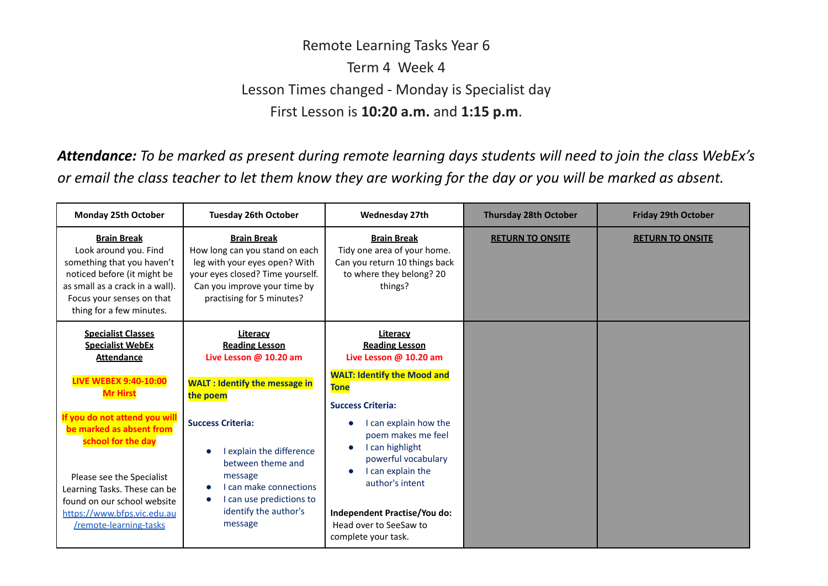## Remote Learning Tasks Year 6 Term 4 Week 4 Lesson Times changed - Monday is Specialist day First Lesson is **10:20 a.m.** and **1:15 p.m**.

Attendance: To be marked as present during remote learning days students will need to join the class WebEx's or email the class teacher to let them know they are working for the day or you will be marked as absent.

| <b>Monday 25th October</b>                                                                                                                                                                           | <b>Tuesday 26th October</b>                                                                                                                                                            | <b>Wednesday 27th</b>                                                                                                         | <b>Thursday 28th October</b> | <b>Friday 29th October</b> |
|------------------------------------------------------------------------------------------------------------------------------------------------------------------------------------------------------|----------------------------------------------------------------------------------------------------------------------------------------------------------------------------------------|-------------------------------------------------------------------------------------------------------------------------------|------------------------------|----------------------------|
| <b>Brain Break</b><br>Look around you. Find<br>something that you haven't<br>noticed before (it might be<br>as small as a crack in a wall).<br>Focus your senses on that<br>thing for a few minutes. | <b>Brain Break</b><br>How long can you stand on each<br>leg with your eyes open? With<br>your eyes closed? Time yourself.<br>Can you improve your time by<br>practising for 5 minutes? | <b>Brain Break</b><br>Tidy one area of your home.<br>Can you return 10 things back<br>to where they belong? 20<br>things?     | <b>RETURN TO ONSITE</b>      | <b>RETURN TO ONSITE</b>    |
| <b>Specialist Classes</b><br><b>Specialist WebEx</b><br><b>Attendance</b>                                                                                                                            | Literacy<br><b>Reading Lesson</b><br>Live Lesson @ 10.20 am                                                                                                                            | Literacy<br><b>Reading Lesson</b><br>Live Lesson @ 10.20 am                                                                   |                              |                            |
| <b>LIVE WEBEX 9:40-10:00</b><br><b>Mr Hirst</b>                                                                                                                                                      | <b>WALT: Identify the message in</b><br>the poem                                                                                                                                       | <b>WALT: Identify the Mood and</b><br><b>Tone</b><br><b>Success Criteria:</b>                                                 |                              |                            |
| If you do not attend you will<br>be marked as absent from<br>school for the day<br>Please see the Specialist<br>Learning Tasks. These can be<br>found on our school website                          | <b>Success Criteria:</b><br>explain the difference<br>$\bullet$<br>between theme and<br>message<br>Lcan make connections<br>I can use predictions to<br>$\bullet$                      | I can explain how the<br>poem makes me feel<br>I can highlight<br>powerful vocabulary<br>I can explain the<br>author's intent |                              |                            |
| https://www.bfps.vic.edu.au<br>/remote-learning-tasks                                                                                                                                                | identify the author's<br>message                                                                                                                                                       | Independent Practise/You do:<br>Head over to SeeSaw to<br>complete your task.                                                 |                              |                            |